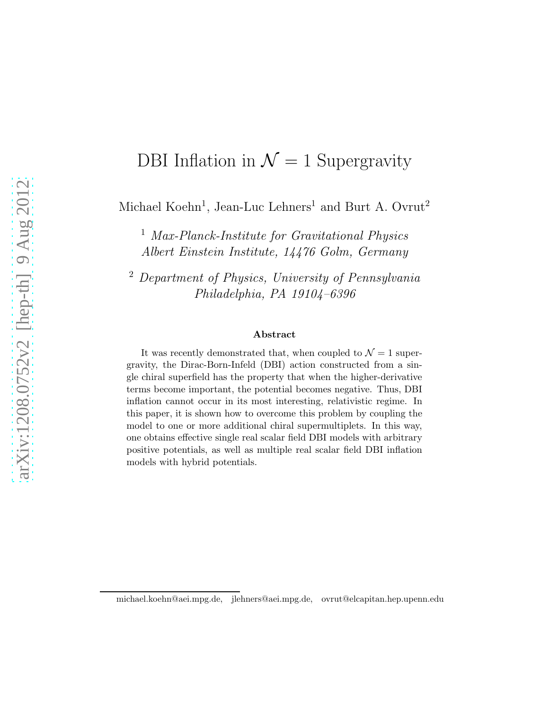# DBI Inflation in  $\mathcal{N}=1$  Supergravity

Michael Koehn<sup>1</sup>, Jean-Luc Lehners<sup>1</sup> and Burt A. Ovrut<sup>2</sup>

<sup>1</sup> Max-Planck-Institute for Gravitational Physics Albert Einstein Institute, 14476 Golm, Germany

<sup>2</sup> Department of Physics, University of Pennsylvania Philadelphia, PA 19104–6396

#### Abstract

It was recently demonstrated that, when coupled to  $\mathcal{N}=1$  supergravity, the Dirac-Born-Infeld (DBI) action constructed from a single chiral superfield has the property that when the higher-derivative terms become important, the potential becomes negative. Thus, DBI inflation cannot occur in its most interesting, relativistic regime. In this paper, it is shown how to overcome this problem by coupling the model to one or more additional chiral supermultiplets. In this way, one obtains effective single real scalar field DBI models with arbitrary positive potentials, as well as multiple real scalar field DBI inflation models with hybrid potentials.

michael.koehn@aei.mpg.de, jlehners@aei.mpg.de, ovrut@elcapitan.hep.upenn.edu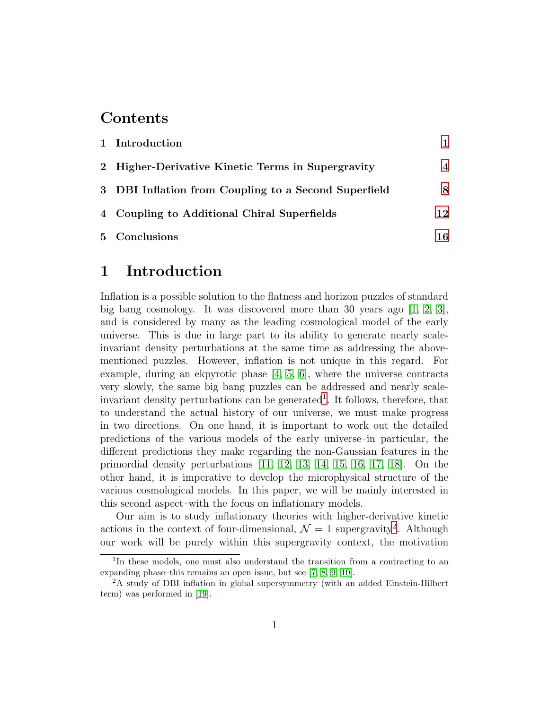### Contents

| 1 Introduction                                       |     |
|------------------------------------------------------|-----|
| 2 Higher-Derivative Kinetic Terms in Supergravity    | 4   |
| 3 DBI Inflation from Coupling to a Second Superfield | 8   |
| 4 Coupling to Additional Chiral Superfields          | 12  |
| 5 Conclusions                                        | 16. |

### <span id="page-1-0"></span>1 Introduction

Inflation is a possible solution to the flatness and horizon puzzles of standard big bang cosmology. It was discovered more than 30 years ago  $[1, 2, 3]$  $[1, 2, 3]$  $[1, 2, 3]$  $[1, 2, 3]$ , and is considered by many as the leading cosmological model of the early universe. This is due in large part to its ability to generate nearly scaleinvariant density perturbations at the same time as addressing the abovementioned puzzles. However, inflation is not unique in this regard. For example, during an ekpyrotic phase  $[4, 5, 6]$  $[4, 5, 6]$  $[4, 5, 6]$ , where the universe contracts very slowly, the same big bang puzzles can be addressed and nearly scaleinvariant density perturbations can be generated<sup>1</sup>. It follows, therefore, that to understand the actual history of our universe, we must make progress in two directions. On one hand, it is important to work out the detailed predictions of the various models of the early universe–in particular, the different predictions they make regarding the non-Gaussian features in the primordial density perturbations [\[11,](#page-19-0) [12,](#page-19-1) [13,](#page-19-2) [14,](#page-19-3) [15,](#page-19-4) [16,](#page-19-5) [17,](#page-19-6) [18\]](#page-19-7). On the other hand, it is imperative to develop the microphysical structure of the various cosmological models. In this paper, we will be mainly interested in this second aspect–with the focus on inflationary models.

Our aim is to study inflationary theories with higher-derivative kinetic actions in the context of four-dimensional,  $\mathcal{N}=1$  supergravity<sup>2</sup>. Although our work will be purely within this supergravity context, the motivation

<sup>&</sup>lt;sup>1</sup>In these models, one must also understand the transition from a contracting to an expanding phase–this remains an open issue, but see [\[7,](#page-19-8) [8,](#page-19-9) [9,](#page-19-10) [10\]](#page-19-11).

<sup>2</sup>A study of DBI inflation in global supersymmetry (with an added Einstein-Hilbert term) was performed in [\[19\]](#page-19-12).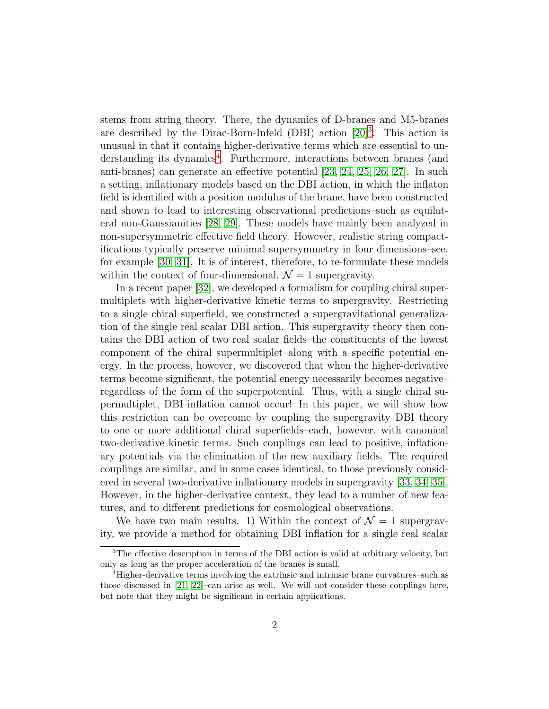stems from string theory. There, the dynamics of D-branes and M5-branes are described by the Dirac-Born-Infeld (DBI) action  $[20]^3$ . This action is unusual in that it contains higher-derivative terms which are essential to understanding its dynamics<sup>4</sup>. Furthermore, interactions between branes (and anti-branes) can generate an effective potential [\[23,](#page-20-1) [24,](#page-20-2) [25,](#page-20-3) [26,](#page-20-4) [27\]](#page-20-5). In such a setting, inflationary models based on the DBI action, in which the inflaton field is identified with a position modulus of the brane, have been constructed and shown to lead to interesting observational predictions–such as equilateral non-Gaussianities [\[28,](#page-20-6) [29\]](#page-20-7). These models have mainly been analyzed in non-supersymmetric effective field theory. However, realistic string compactifications typically preserve minimal supersymmetry in four dimensions–see, for example [\[30,](#page-20-8) [31\]](#page-20-9). It is of interest, therefore, to re-formulate these models within the context of four-dimensional,  $\mathcal{N}=1$  supergravity.

In a recent paper [\[32\]](#page-20-10), we developed a formalism for coupling chiral supermultiplets with higher-derivative kinetic terms to supergravity. Restricting to a single chiral superfield, we constructed a supergravitational generalization of the single real scalar DBI action. This supergravity theory then contains the DBI action of two real scalar fields–the constituents of the lowest component of the chiral supermultiplet–along with a specific potential energy. In the process, however, we discovered that when the higher-derivative terms become significant, the potential energy necessarily becomes negative– regardless of the form of the superpotential. Thus, with a single chiral supermultiplet, DBI inflation cannot occur! In this paper, we will show how this restriction can be overcome by coupling the supergravity DBI theory to one or more additional chiral superfields–each, however, with canonical two-derivative kinetic terms. Such couplings can lead to positive, inflationary potentials via the elimination of the new auxiliary fields. The required couplings are similar, and in some cases identical, to those previously considered in several two-derivative inflationary models in supergravity [\[33,](#page-20-11) [34,](#page-21-0) [35\]](#page-21-1). However, in the higher-derivative context, they lead to a number of new features, and to different predictions for cosmological observations.

We have two main results. 1) Within the context of  $\mathcal{N}=1$  supergravity, we provide a method for obtaining DBI inflation for a single real scalar

<sup>3</sup>The effective description in terms of the DBI action is valid at arbitrary velocity, but only as long as the proper acceleration of the branes is small.

<sup>4</sup>Higher-derivative terms involving the extrinsic and intrinsic brane curvatures–such as those discussed in [\[21,](#page-20-12) [22\]](#page-20-13)–can arise as well. We will not consider these couplings here, but note that they might be significant in certain applications.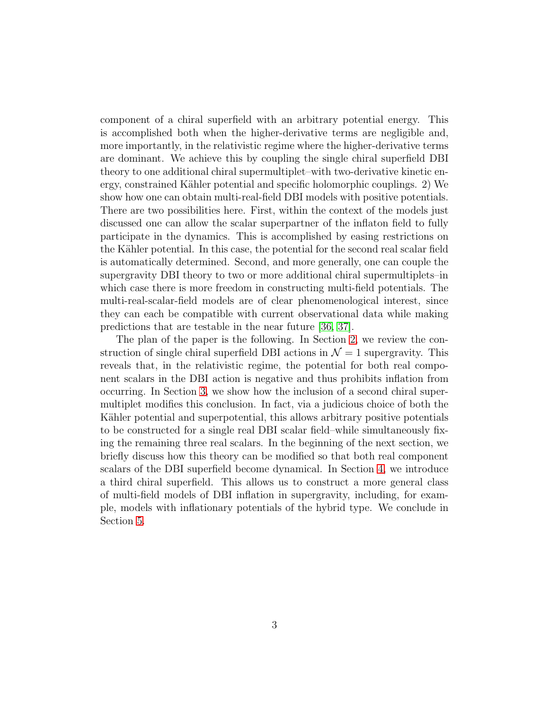component of a chiral superfield with an arbitrary potential energy. This is accomplished both when the higher-derivative terms are negligible and, more importantly, in the relativistic regime where the higher-derivative terms are dominant. We achieve this by coupling the single chiral superfield DBI theory to one additional chiral supermultiplet–with two-derivative kinetic energy, constrained Kähler potential and specific holomorphic couplings. 2) We show how one can obtain multi-real-field DBI models with positive potentials. There are two possibilities here. First, within the context of the models just discussed one can allow the scalar superpartner of the inflaton field to fully participate in the dynamics. This is accomplished by easing restrictions on the Kähler potential. In this case, the potential for the second real scalar field is automatically determined. Second, and more generally, one can couple the supergravity DBI theory to two or more additional chiral supermultiplets–in which case there is more freedom in constructing multi-field potentials. The multi-real-scalar-field models are of clear phenomenological interest, since they can each be compatible with current observational data while making predictions that are testable in the near future [\[36,](#page-21-2) [37\]](#page-21-3).

The plan of the paper is the following. In Section [2,](#page-4-0) we review the construction of single chiral superfield DBI actions in  $\mathcal{N}=1$  supergravity. This reveals that, in the relativistic regime, the potential for both real component scalars in the DBI action is negative and thus prohibits inflation from occurring. In Section [3,](#page-8-0) we show how the inclusion of a second chiral supermultiplet modifies this conclusion. In fact, via a judicious choice of both the Kähler potential and superpotential, this allows arbitrary positive potentials to be constructed for a single real DBI scalar field–while simultaneously fixing the remaining three real scalars. In the beginning of the next section, we briefly discuss how this theory can be modified so that both real component scalars of the DBI superfield become dynamical. In Section [4,](#page-12-0) we introduce a third chiral superfield. This allows us to construct a more general class of multi-field models of DBI inflation in supergravity, including, for example, models with inflationary potentials of the hybrid type. We conclude in Section [5.](#page-16-0)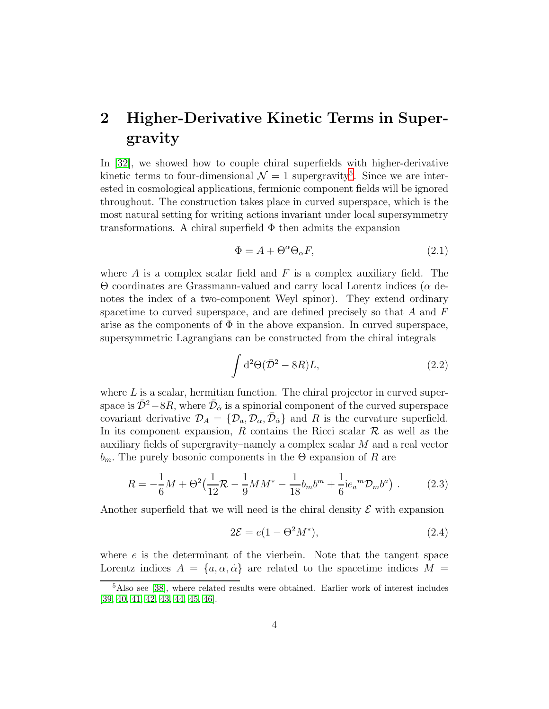## <span id="page-4-0"></span>2 Higher-Derivative Kinetic Terms in Supergravity

In [\[32\]](#page-20-10), we showed how to couple chiral superfields with higher-derivative kinetic terms to four-dimensional  $\mathcal{N}=1$  supergravity<sup>5</sup>. Since we are interested in cosmological applications, fermionic component fields will be ignored throughout. The construction takes place in curved superspace, which is the most natural setting for writing actions invariant under local supersymmetry transformations. A chiral superfield  $\Phi$  then admits the expansion

$$
\Phi = A + \Theta^{\alpha} \Theta_{\alpha} F, \tag{2.1}
$$

where  $\tilde{A}$  is a complex scalar field and  $\tilde{F}$  is a complex auxiliary field. The Θ coordinates are Grassmann-valued and carry local Lorentz indices (α denotes the index of a two-component Weyl spinor). They extend ordinary spacetime to curved superspace, and are defined precisely so that  $A$  and  $F$ arise as the components of  $\Phi$  in the above expansion. In curved superspace, supersymmetric Lagrangians can be constructed from the chiral integrals

$$
\int d^2\Theta(\bar{\mathcal{D}}^2 - 8R)L, \tag{2.2}
$$

where  $L$  is a scalar, hermitian function. The chiral projector in curved superspace is  $\bar{\mathcal{D}}^2 - 8R$ , where  $\bar{\mathcal{D}}_{\dot{\alpha}}$  is a spinorial component of the curved superspace covariant derivative  $\mathcal{D}_A = \{ \mathcal{D}_a, \mathcal{D}_\alpha, \bar{\mathcal{D}}_{\dot{\alpha}} \}$  and R is the curvature superfield. In its component expansion, R contains the Ricci scalar  $\mathcal R$  as well as the auxiliary fields of supergravity–namely a complex scalar M and a real vector  $b_m$ . The purely bosonic components in the  $\Theta$  expansion of R are

$$
R = -\frac{1}{6}M + \Theta^2 \left(\frac{1}{12}\mathcal{R} - \frac{1}{9}MM^* - \frac{1}{18}b_m b^m + \frac{1}{6}ie_a{}^m\mathcal{D}_m b^a\right) \,. \tag{2.3}
$$

Another superfield that we will need is the chiral density  $\mathcal E$  with expansion

$$
2\mathcal{E} = e(1 - \Theta^2 M^*),\tag{2.4}
$$

where  $e$  is the determinant of the vierbein. Note that the tangent space Lorentz indices  $A = \{a, \alpha, \dot{\alpha}\}\$ are related to the spacetime indices  $M =$ 

<sup>&</sup>lt;sup>5</sup>Also see [\[38\]](#page-21-4), where related results were obtained. Earlier work of interest includes [\[39,](#page-21-5) [40,](#page-21-6) [41,](#page-21-7) [42,](#page-21-8) [43,](#page-21-9) [44,](#page-21-10) [45,](#page-21-11) [46\]](#page-21-12).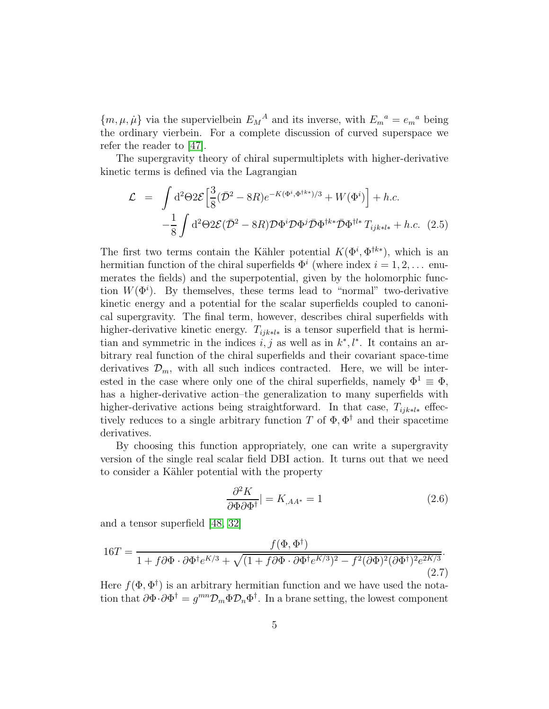${m, \mu, \mu}$  via the supervielbein  $E_M^A$  and its inverse, with  $E_m^a = e_m^a$  being the ordinary vierbein. For a complete discussion of curved superspace we refer the reader to [\[47\]](#page-22-0).

The supergravity theory of chiral supermultiplets with higher-derivative kinetic terms is defined via the Lagrangian

<span id="page-5-0"></span>
$$
\mathcal{L} = \int d^2\Theta 2\mathcal{E} \left[ \frac{3}{8} (\bar{\mathcal{D}}^2 - 8R) e^{-K(\Phi^i, \Phi^{\dagger k*})/3} + W(\Phi^i) \right] + h.c.
$$
  

$$
- \frac{1}{8} \int d^2\Theta 2\mathcal{E} (\bar{\mathcal{D}}^2 - 8R) \mathcal{D}\Phi^i \mathcal{D}\Phi^j \bar{\mathcal{D}}\Phi^{\dagger k*} \bar{\mathcal{D}}\Phi^{\dagger l*} T_{ijk*l*} + h.c. \quad (2.5)
$$

The first two terms contain the Kähler potential  $K(\Phi^i, \Phi^{\dagger k*})$ , which is an hermitian function of the chiral superfields  $\Phi^i$  (where index  $i = 1, 2, \ldots$  enumerates the fields) and the superpotential, given by the holomorphic function  $W(\Phi^i)$ . By themselves, these terms lead to "normal" two-derivative kinetic energy and a potential for the scalar superfields coupled to canonical supergravity. The final term, however, describes chiral superfields with higher-derivative kinetic energy.  $T_{ijk\ast l\ast}$  is a tensor superfield that is hermitian and symmetric in the indices  $i, j$  as well as in  $k^*, l^*$ . It contains an arbitrary real function of the chiral superfields and their covariant space-time derivatives  $\mathcal{D}_m$ , with all such indices contracted. Here, we will be interested in the case where only one of the chiral superfields, namely  $\Phi^1 \equiv \Phi$ , has a higher-derivative action–the generalization to many superfields with higher-derivative actions being straightforward. In that case,  $T_{iik*l*}$  effectively reduces to a single arbitrary function T of  $\Phi$ ,  $\Phi^{\dagger}$  and their spacetime derivatives.

By choosing this function appropriately, one can write a supergravity version of the single real scalar field DBI action. It turns out that we need to consider a Kähler potential with the property

$$
\frac{\partial^2 K}{\partial \Phi \partial \Phi^\dagger}| = K_{,AA^*} = 1 \tag{2.6}
$$

and a tensor superfield [\[48,](#page-22-1) [32\]](#page-20-10)

<span id="page-5-1"></span>
$$
16T = \frac{f(\Phi, \Phi^{\dagger})}{1 + f\partial\Phi \cdot \partial\Phi^{\dagger}e^{K/3} + \sqrt{(1 + f\partial\Phi \cdot \partial\Phi^{\dagger}e^{K/3})^2 - f^2(\partial\Phi)^2(\partial\Phi^{\dagger})^2e^{2K/3}}}.
$$
\n(2.7)

Here  $f(\Phi, \Phi^{\dagger})$  is an arbitrary hermitian function and we have used the notation that  $\partial \Phi \cdot \partial \Phi^{\dagger} = g^{mn} \mathcal{D}_m \Phi \mathcal{D}_n \Phi^{\dagger}$ . In a brane setting, the lowest component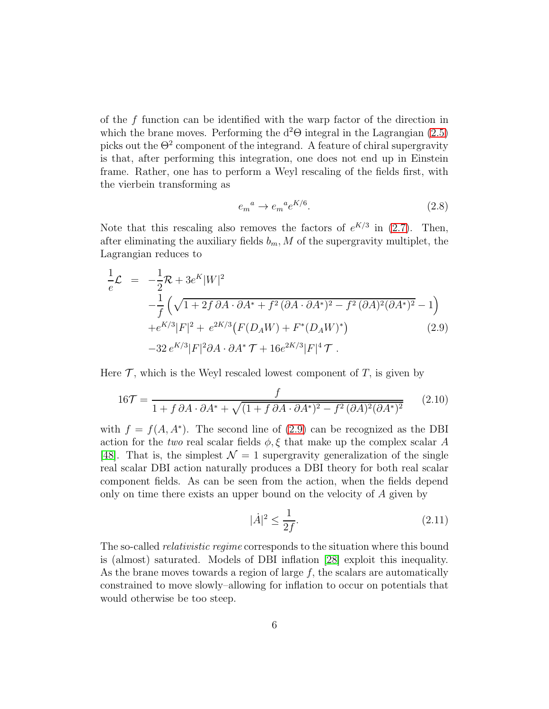of the f function can be identified with the warp factor of the direction in which the brane moves. Performing the  $d^2\Theta$  integral in the Lagrangian [\(2.5\)](#page-5-0) picks out the  $\Theta^2$  component of the integrand. A feature of chiral supergravity is that, after performing this integration, one does not end up in Einstein frame. Rather, one has to perform a Weyl rescaling of the fields first, with the vierbein transforming as

$$
e_m^a \to e_m^{\ a} e^{K/6}.\tag{2.8}
$$

Note that this rescaling also removes the factors of  $e^{K/3}$  in [\(2.7\)](#page-5-1). Then, after eliminating the auxiliary fields  $b_m$ , M of the supergravity multiplet, the Lagrangian reduces to

<span id="page-6-0"></span>
$$
\frac{1}{e}\mathcal{L} = -\frac{1}{2}\mathcal{R} + 3e^{K}|W|^{2} \n- \frac{1}{f} \left( \sqrt{1 + 2f \partial A \cdot \partial A^{*} + f^{2} (\partial A \cdot \partial A^{*})^{2} - f^{2} (\partial A)^{2} (\partial A^{*})^{2}} - 1 \right) \n+ e^{K/3}|F|^{2} + e^{2K/3} (F(D_{A}W) + F^{*}(D_{A}W)^{*})
$$
\n(2.9)  
\n-32  $e^{K/3}|F|^{2} \partial A \cdot \partial A^{*} \mathcal{T} + 16e^{2K/3}|F|^{4} \mathcal{T}$ .

Here  $\mathcal T$ , which is the Weyl rescaled lowest component of  $T$ , is given by

$$
16\mathcal{T} = \frac{f}{1 + f \partial A \cdot \partial A^* + \sqrt{(1 + f \partial A \cdot \partial A^*)^2 - f^2 (\partial A)^2 (\partial A^*)^2}} \tag{2.10}
$$

with  $f = f(A, A^*)$ . The second line of [\(2.9\)](#page-6-0) can be recognized as the DBI action for the two real scalar fields  $\phi$ ,  $\xi$  that make up the complex scalar A [\[48\]](#page-22-1). That is, the simplest  $\mathcal{N} = 1$  supergravity generalization of the single real scalar DBI action naturally produces a DBI theory for both real scalar component fields. As can be seen from the action, when the fields depend only on time there exists an upper bound on the velocity of A given by

<span id="page-6-1"></span>
$$
|\dot{A}|^2 \le \frac{1}{2f}.\tag{2.11}
$$

The so-called *relativistic regime* corresponds to the situation where this bound is (almost) saturated. Models of DBI inflation [\[28\]](#page-20-6) exploit this inequality. As the brane moves towards a region of large  $f$ , the scalars are automatically constrained to move slowly–allowing for inflation to occur on potentials that would otherwise be too steep.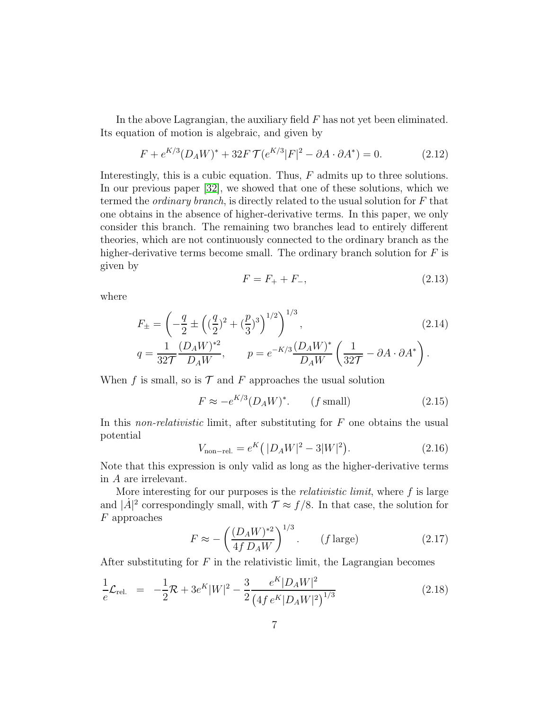In the above Lagrangian, the auxiliary field F has not yet been eliminated. Its equation of motion is algebraic, and given by

$$
F + e^{K/3} (D_A W)^* + 32F \mathcal{T} (e^{K/3} |F|^2 - \partial A \cdot \partial A^*) = 0.
$$
 (2.12)

Interestingly, this is a cubic equation. Thus,  $F$  admits up to three solutions. In our previous paper [\[32\]](#page-20-10), we showed that one of these solutions, which we termed the *ordinary branch*, is directly related to the usual solution for  $F$  that one obtains in the absence of higher-derivative terms. In this paper, we only consider this branch. The remaining two branches lead to entirely different theories, which are not continuously connected to the ordinary branch as the higher-derivative terms become small. The ordinary branch solution for  $F$  is given by

$$
F = F_+ + F_-, \tag{2.13}
$$

where

$$
F_{\pm} = \left(-\frac{q}{2} \pm \left( (\frac{q}{2})^2 + (\frac{p}{3})^3 \right)^{1/2} \right)^{1/3},
$$
\n
$$
q = \frac{1}{32\mathcal{T}} \frac{(D_A W)^{*2}}{D_A W}, \qquad p = e^{-K/3} \frac{(D_A W)^{*}}{D_A W} \left(\frac{1}{32\mathcal{T}} - \partial A \cdot \partial A^*\right).
$$
\n(2.14)

When f is small, so is  $\mathcal T$  and F approaches the usual solution

$$
F \approx -e^{K/3} (D_A W)^*.
$$
 (f small) \t(2.15)

In this *non-relativistic* limit, after substituting for  $F$  one obtains the usual potential

$$
V_{\text{non-rel.}} = e^{K} (|D_A W|^2 - 3|W|^2). \tag{2.16}
$$

Note that this expression is only valid as long as the higher-derivative terms in A are irrelevant.

More interesting for our purposes is the *relativistic limit*, where  $f$  is large and  $|\dot{A}|^2$  correspondingly small, with  $\mathcal{T} \approx f/8$ . In that case, the solution for F approaches

$$
F \approx -\left(\frac{(D_A W)^{*2}}{4f D_A W}\right)^{1/3}.
$$
 (f large) (2.17)

After substituting for  $F$  in the relativistic limit, the Lagrangian becomes

<span id="page-7-0"></span>
$$
\frac{1}{e}\mathcal{L}_{\text{rel.}} = -\frac{1}{2}\mathcal{R} + 3e^K|W|^2 - \frac{3}{2}\frac{e^K|D_A W|^2}{\left(4f\,e^K|D_A W|^2\right)^{1/3}}\tag{2.18}
$$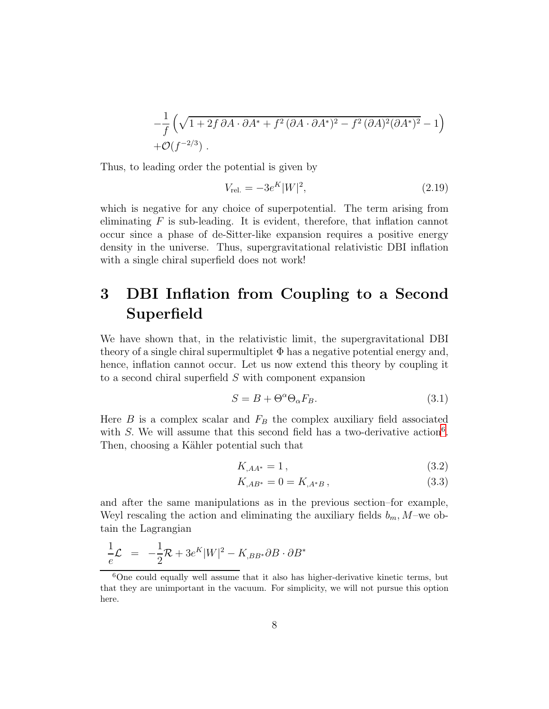$$
-\frac{1}{f}\left(\sqrt{1+2f\,\partial A\cdot\partial A^*+f^2\,(\partial A\cdot\partial A^*)^2-f^2\,(\partial A)^2(\partial A^*)^2}-1\right) + \mathcal{O}(f^{-2/3}).
$$

Thus, to leading order the potential is given by

<span id="page-8-1"></span>
$$
V_{\text{rel.}} = -3e^{K}|W|^{2},\tag{2.19}
$$

which is negative for any choice of superpotential. The term arising from eliminating  $F$  is sub-leading. It is evident, therefore, that inflation cannot occur since a phase of de-Sitter-like expansion requires a positive energy density in the universe. Thus, supergravitational relativistic DBI inflation with a single chiral superfield does not work!

### <span id="page-8-0"></span>3 DBI Inflation from Coupling to a Second Superfield

We have shown that, in the relativistic limit, the supergravitational DBI theory of a single chiral supermultiplet  $\Phi$  has a negative potential energy and, hence, inflation cannot occur. Let us now extend this theory by coupling it to a second chiral superfield S with component expansion

$$
S = B + \Theta^{\alpha} \Theta_{\alpha} F_B. \tag{3.1}
$$

Here  $B$  is a complex scalar and  $F_B$  the complex auxiliary field associated with  $S$ . We will assume that this second field has a two-derivative action<sup>6</sup>. Then, choosing a Kähler potential such that

<span id="page-8-2"></span>
$$
K_{,AA^*} = 1\,,\tag{3.2}
$$

$$
K_{,AB^*} = 0 = K_{,A^*B} \,,\tag{3.3}
$$

and after the same manipulations as in the previous section–for example, Weyl rescaling the action and eliminating the auxiliary fields  $b_m$ , M-we obtain the Lagrangian

$$
\frac{1}{e}\mathcal{L} = -\frac{1}{2}\mathcal{R} + 3e^K|W|^2 - K_{,BB^*}\partial B \cdot \partial B^*
$$

 ${}^{6}$ One could equally well assume that it also has higher-derivative kinetic terms, but that they are unimportant in the vacuum. For simplicity, we will not pursue this option here.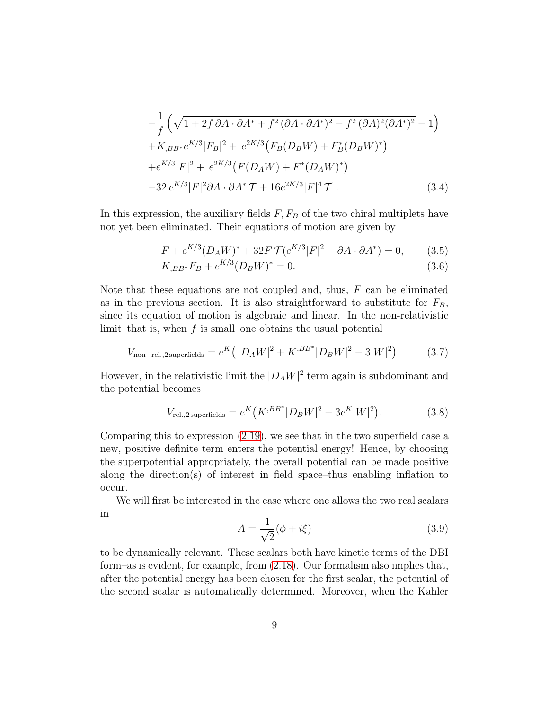$$
-\frac{1}{f}\left(\sqrt{1+2f\,\partial A\cdot\partial A^*+f^2\,(\partial A\cdot\partial A^*)^2-f^2\,(\partial A)^2(\partial A^*)^2}-1\right) +K_{,BB^*}e^{K/3}|F_B|^2+e^{2K/3}(F_B(D_BW)+F_B^*(D_BW)^*) +e^{K/3}|F|^2+e^{2K/3}(F(D_AW)+F^*(D_AW)^*) -32\,e^{K/3}|F|^2\partial A\cdot\partial A^*\,\mathcal{T}+16e^{2K/3}|F|^4\,\mathcal{T}.
$$
 (3.4)

In this expression, the auxiliary fields  $F, F_B$  of the two chiral multiplets have not yet been eliminated. Their equations of motion are given by

<span id="page-9-1"></span>
$$
F + e^{K/3} (D_A W)^* + 32F \mathcal{T} (e^{K/3} |F|^2 - \partial A \cdot \partial A^*) = 0,
$$
 (3.5)

$$
K_{,BB^*}F_B + e^{K/3}(D_B W)^* = 0.
$$
\n(3.6)

Note that these equations are not coupled and, thus,  $F$  can be eliminated as in the previous section. It is also straightforward to substitute for  $F_B$ , since its equation of motion is algebraic and linear. In the non-relativistic limit–that is, when  $f$  is small–one obtains the usual potential

$$
V_{\text{non-rel.,2 superfields}} = e^{K} (|D_A W|^2 + K^{,BB^*} |D_B W|^2 - 3|W|^2). \tag{3.7}
$$

However, in the relativistic limit the  $|D_A W|^2$  term again is subdominant and the potential becomes

<span id="page-9-0"></span>
$$
V_{\text{rel.},2\,\text{superfields}} = e^K \left( K^{,BB^*} | D_B W |^2 - 3e^K |W|^2 \right). \tag{3.8}
$$

Comparing this to expression [\(2.19\)](#page-8-1), we see that in the two superfield case a new, positive definite term enters the potential energy! Hence, by choosing the superpotential appropriately, the overall potential can be made positive along the direction(s) of interest in field space–thus enabling inflation to occur.

We will first be interested in the case where one allows the two real scalars in

<span id="page-9-2"></span>
$$
A = \frac{1}{\sqrt{2}}(\phi + i\xi)
$$
\n(3.9)

to be dynamically relevant. These scalars both have kinetic terms of the DBI form–as is evident, for example, from [\(2.18\)](#page-7-0). Our formalism also implies that, after the potential energy has been chosen for the first scalar, the potential of the second scalar is automatically determined. Moreover, when the Kähler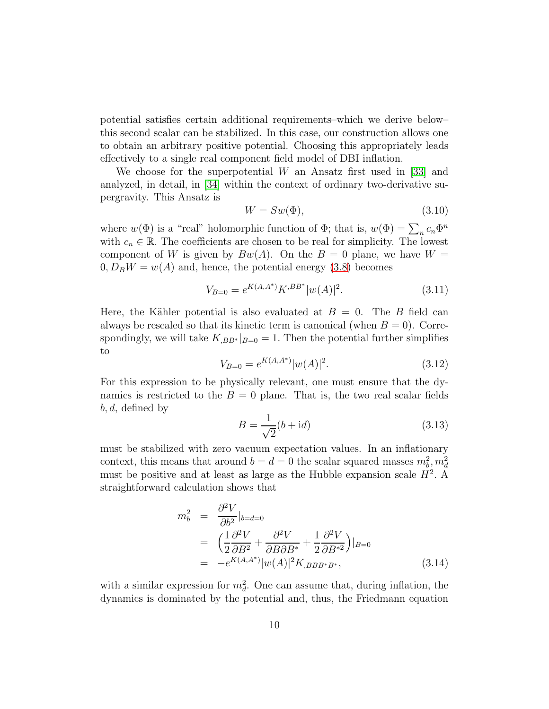potential satisfies certain additional requirements–which we derive below– this second scalar can be stabilized. In this case, our construction allows one to obtain an arbitrary positive potential. Choosing this appropriately leads effectively to a single real component field model of DBI inflation.

We choose for the superpotential  $W$  an Ansatz first used in [\[33\]](#page-20-11) and analyzed, in detail, in [\[34\]](#page-21-0) within the context of ordinary two-derivative supergravity. This Ansatz is

<span id="page-10-0"></span>
$$
W = Sw(\Phi),\tag{3.10}
$$

where  $w(\Phi)$  is a "real" holomorphic function of  $\Phi$ ; that is,  $w(\Phi) = \sum_n c_n \Phi^n$ with  $c_n \in \mathbb{R}$ . The coefficients are chosen to be real for simplicity. The lowest component of W is given by  $Bw(A)$ . On the  $B = 0$  plane, we have  $W =$  $0, D_B W = w(A)$  and, hence, the potential energy [\(3.8\)](#page-9-0) becomes

$$
V_{B=0} = e^{K(A,A^*)} K^{,BB^*} |w(A)|^2.
$$
 (3.11)

Here, the Kähler potential is also evaluated at  $B = 0$ . The B field can always be rescaled so that its kinetic term is canonical (when  $B = 0$ ). Correspondingly, we will take  $K_{,BB^*}|_{B=0} = 1$ . Then the potential further simplifies to

<span id="page-10-1"></span>
$$
V_{B=0} = e^{K(A,A^*)} |w(A)|^2.
$$
\n(3.12)

For this expression to be physically relevant, one must ensure that the dynamics is restricted to the  $B = 0$  plane. That is, the two real scalar fields  $b, d$ , defined by

$$
B = \frac{1}{\sqrt{2}}(b + \mathrm{i}d) \tag{3.13}
$$

must be stabilized with zero vacuum expectation values. In an inflationary context, this means that around  $b = d = 0$  the scalar squared masses  $m_b^2, m_d^2$ must be positive and at least as large as the Hubble expansion scale  $H^2$ . A straightforward calculation shows that

$$
m_b^2 = \frac{\partial^2 V}{\partial b^2}|_{b=d=0}
$$
  
=  $\left(\frac{1}{2}\frac{\partial^2 V}{\partial B^2} + \frac{\partial^2 V}{\partial B \partial B^*} + \frac{1}{2}\frac{\partial^2 V}{\partial B^*2}\right)|_{B=0}$   
=  $-e^{K(A,A^*)}|w(A)|^2 K_{,BBB^*B^*},$  (3.14)

with a similar expression for  $m_d^2$ . One can assume that, during inflation, the dynamics is dominated by the potential and, thus, the Friedmann equation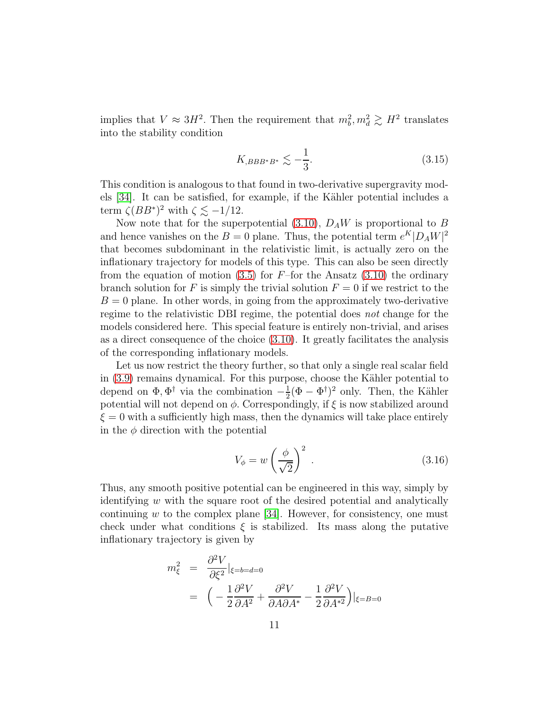implies that  $V \approx 3H^2$ . Then the requirement that  $m_b^2, m_d^2 \gtrsim H^2$  translates into the stability condition

<span id="page-11-0"></span>
$$
K_{,BBB^*B^*} \lesssim -\frac{1}{3}.\tag{3.15}
$$

This condition is analogous to that found in two-derivative supergravity mod-els [\[34\]](#page-21-0). It can be satisfied, for example, if the Kähler potential includes a term  $\zeta (BB^*)^2$  with  $\zeta \lesssim -1/12$ .

Now note that for the superpotential [\(3.10\)](#page-10-0),  $D_A W$  is proportional to B and hence vanishes on the  $B = 0$  plane. Thus, the potential term  $e^{K} |D_A W|^2$ that becomes subdominant in the relativistic limit, is actually zero on the inflationary trajectory for models of this type. This can also be seen directly from the equation of motion  $(3.5)$  for F-for the Ansatz  $(3.10)$  the ordinary branch solution for F is simply the trivial solution  $F = 0$  if we restrict to the  $B = 0$  plane. In other words, in going from the approximately two-derivative regime to the relativistic DBI regime, the potential does not change for the models considered here. This special feature is entirely non-trivial, and arises as a direct consequence of the choice [\(3.10\)](#page-10-0). It greatly facilitates the analysis of the corresponding inflationary models.

Let us now restrict the theory further, so that only a single real scalar field in  $(3.9)$  remains dynamical. For this purpose, choose the Kähler potential to depend on  $\Phi, \Phi^{\dagger}$  via the combination  $-\frac{1}{2}$  $\frac{1}{2}(\Phi - \Phi^{\dagger})^2$  only. Then, the Kähler potential will not depend on  $\phi$ . Correspondingly, if  $\xi$  is now stabilized around  $\xi = 0$  with a sufficiently high mass, then the dynamics will take place entirely in the  $\phi$  direction with the potential

$$
V_{\phi} = w \left(\frac{\phi}{\sqrt{2}}\right)^2 \tag{3.16}
$$

Thus, any smooth positive potential can be engineered in this way, simply by identifying  $w$  with the square root of the desired potential and analytically continuing  $w$  to the complex plane [\[34\]](#page-21-0). However, for consistency, one must check under what conditions  $\xi$  is stabilized. Its mass along the putative inflationary trajectory is given by

<span id="page-11-1"></span>
$$
m_{\xi}^{2} = \frac{\partial^{2} V}{\partial \xi^{2}}|_{\xi=b=d=0}
$$
  
= 
$$
\left(-\frac{1}{2}\frac{\partial^{2} V}{\partial A^{2}} + \frac{\partial^{2} V}{\partial A \partial A^{*}} - \frac{1}{2}\frac{\partial^{2} V}{\partial A^{*2}}\right)|_{\xi=B=0}
$$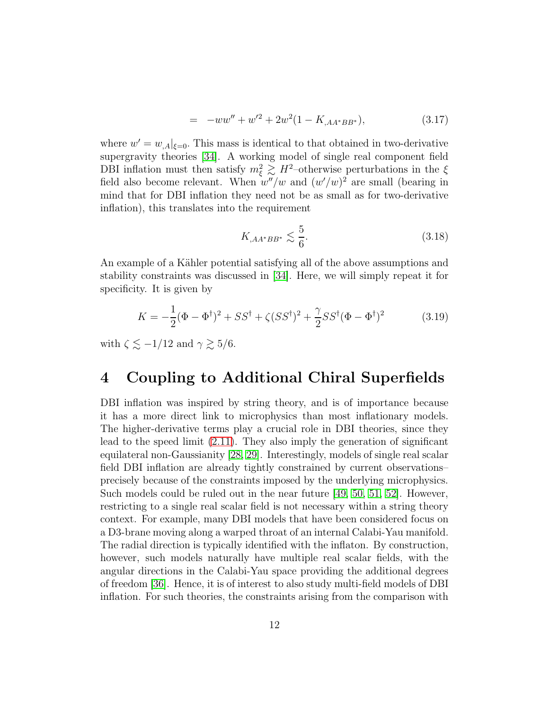$$
= -ww'' + w'^2 + 2w^2(1 - K_{,AA^*BB^*}), \tag{3.17}
$$

where  $w' = w_{A} |_{\xi=0}$ . This mass is identical to that obtained in two-derivative supergravity theories [\[34\]](#page-21-0). A working model of single real component field DBI inflation must then satisfy  $m_{\xi}^2 \gtrsim H^2$ -otherwise perturbations in the  $\xi$ field also become relevant. When  $w''/w$  and  $(w'/w)^2$  are small (bearing in mind that for DBI inflation they need not be as small as for two-derivative inflation), this translates into the requirement

<span id="page-12-1"></span>
$$
K_{,AA^*BB^*} \lesssim \frac{5}{6}.\tag{3.18}
$$

An example of a Kähler potential satisfying all of the above assumptions and stability constraints was discussed in [\[34\]](#page-21-0). Here, we will simply repeat it for specificity. It is given by

<span id="page-12-2"></span>
$$
K = -\frac{1}{2}(\Phi - \Phi^{\dagger})^2 + SS^{\dagger} + \zeta (SS^{\dagger})^2 + \frac{\gamma}{2} SS^{\dagger}(\Phi - \Phi^{\dagger})^2 \tag{3.19}
$$

with  $\zeta \lesssim -1/12$  and  $\gamma \gtrsim 5/6$ .

### <span id="page-12-0"></span>4 Coupling to Additional Chiral Superfields

DBI inflation was inspired by string theory, and is of importance because it has a more direct link to microphysics than most inflationary models. The higher-derivative terms play a crucial role in DBI theories, since they lead to the speed limit [\(2.11\)](#page-6-1). They also imply the generation of significant equilateral non-Gaussianity [\[28,](#page-20-6) [29\]](#page-20-7). Interestingly, models of single real scalar field DBI inflation are already tightly constrained by current observations– precisely because of the constraints imposed by the underlying microphysics. Such models could be ruled out in the near future  $[49, 50, 51, 52]$  $[49, 50, 51, 52]$  $[49, 50, 51, 52]$  $[49, 50, 51, 52]$ . However, restricting to a single real scalar field is not necessary within a string theory context. For example, many DBI models that have been considered focus on a D3-brane moving along a warped throat of an internal Calabi-Yau manifold. The radial direction is typically identified with the inflaton. By construction, however, such models naturally have multiple real scalar fields, with the angular directions in the Calabi-Yau space providing the additional degrees of freedom [\[36\]](#page-21-2). Hence, it is of interest to also study multi-field models of DBI inflation. For such theories, the constraints arising from the comparison with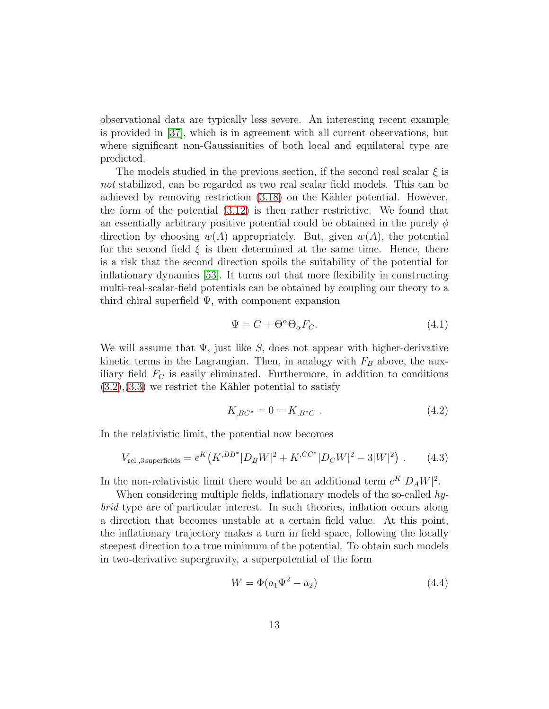observational data are typically less severe. An interesting recent example is provided in [\[37\]](#page-21-3), which is in agreement with all current observations, but where significant non-Gaussianities of both local and equilateral type are predicted.

The models studied in the previous section, if the second real scalar  $\xi$  is not stabilized, can be regarded as two real scalar field models. This can be achieved by removing restriction  $(3.18)$  on the Kähler potential. However, the form of the potential [\(3.12\)](#page-10-1) is then rather restrictive. We found that an essentially arbitrary positive potential could be obtained in the purely  $\phi$ direction by choosing  $w(A)$  appropriately. But, given  $w(A)$ , the potential for the second field  $\xi$  is then determined at the same time. Hence, there is a risk that the second direction spoils the suitability of the potential for inflationary dynamics [\[53\]](#page-22-6). It turns out that more flexibility in constructing multi-real-scalar-field potentials can be obtained by coupling our theory to a third chiral superfield  $\Psi$ , with component expansion

$$
\Psi = C + \Theta^{\alpha} \Theta_{\alpha} F_C. \tag{4.1}
$$

We will assume that  $\Psi$ , just like S, does not appear with higher-derivative kinetic terms in the Lagrangian. Then, in analogy with  $F_B$  above, the auxiliary field  $F_C$  is easily eliminated. Furthermore, in addition to conditions  $(3.2),(3.3)$  $(3.2),(3.3)$  $(3.2),(3.3)$  we restrict the Kähler potential to satisfy

$$
K_{,BC^*} = 0 = K_{,B^*C} . \tag{4.2}
$$

In the relativistic limit, the potential now becomes

$$
V_{\text{rel.,3 superfields}} = e^{K} \left( K^{,BB^*} |D_B W|^2 + K^{,CC^*} |D_C W|^2 - 3|W|^2 \right) . \tag{4.3}
$$

In the non-relativistic limit there would be an additional term  $e^{K}|D_A W|^2$ .

When considering multiple fields, inflationary models of the so-called hybrid type are of particular interest. In such theories, inflation occurs along a direction that becomes unstable at a certain field value. At this point, the inflationary trajectory makes a turn in field space, following the locally steepest direction to a true minimum of the potential. To obtain such models in two-derivative supergravity, a superpotential of the form

$$
W = \Phi(a_1 \Psi^2 - a_2)
$$
 (4.4)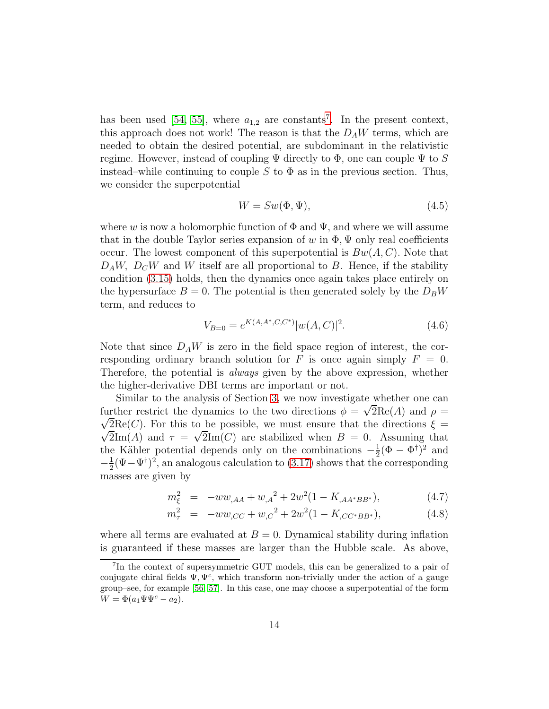has been used [\[54,](#page-22-7) [55\]](#page-22-8), where  $a_{1,2}$  are constants<sup>7</sup>. In the present context, this approach does not work! The reason is that the  $D_A W$  terms, which are needed to obtain the desired potential, are subdominant in the relativistic regime. However, instead of coupling  $\Psi$  directly to  $\Phi$ , one can couple  $\Psi$  to S instead–while continuing to couple S to  $\Phi$  as in the previous section. Thus, we consider the superpotential

$$
W = Sw(\Phi, \Psi),\tag{4.5}
$$

where w is now a holomorphic function of  $\Phi$  and  $\Psi$ , and where we will assume that in the double Taylor series expansion of w in  $\Phi$ ,  $\Psi$  only real coefficients occur. The lowest component of this superpotential is  $Bw(A, C)$ . Note that  $D_A W$ ,  $D_C W$  and W itself are all proportional to B. Hence, if the stability condition [\(3.15\)](#page-11-0) holds, then the dynamics once again takes place entirely on the hypersurface  $B = 0$ . The potential is then generated solely by the  $D_BW$ term, and reduces to

$$
V_{B=0} = e^{K(A, A^*, C, C^*)} |w(A, C)|^2.
$$
\n(4.6)

Note that since  $D_A W$  is zero in the field space region of interest, the corresponding ordinary branch solution for F is once again simply  $F = 0$ . Therefore, the potential is *always* given by the above expression, whether the higher-derivative DBI terms are important or not.

Similar to the analysis of Section [3,](#page-8-0) we now investigate whether one can further restrict the dynamics to the two directions  $\phi = \sqrt{2} \text{Re}(A)$  and  $\rho =$  $\sqrt{2}Re(C)$ . For this to be possible, we must ensure that the directions  $\xi =$  $\sqrt{2}\text{Im}(A)$  and  $\tau = \sqrt{2}\text{Im}(C)$  are stabilized when  $B = 0$ . Assuming that the Kähler potential depends only on the combinations  $-\frac{1}{2}$  $\frac{1}{2}(\Phi - \Phi^{\dagger})^2$  and  $-\frac{1}{2}$  $\frac{1}{2}(\Psi - \Psi^{\dagger})^2$ , an analogous calculation to [\(3.17\)](#page-11-1) shows that the corresponding masses are given by

$$
m_{\xi}^{2} = -ww_{,AA} + w_{,A}^{2} + 2w^{2}(1 - K_{,AA^{*}BB^{*}}), \qquad (4.7)
$$

$$
m_{\tau}^{2} = -ww_{,CC} + w_{,C}^{2} + 2w^{2}(1 - K_{,CC^{*}BB^{*}}), \qquad (4.8)
$$

where all terms are evaluated at  $B = 0$ . Dynamical stability during inflation is guaranteed if these masses are larger than the Hubble scale. As above,

<sup>7</sup> In the context of supersymmetric GUT models, this can be generalized to a pair of conjugate chiral fields  $\Psi, \Psi^c$ , which transform non-trivially under the action of a gauge group–see, for example [\[56,](#page-22-9) [57\]](#page-22-10). In this case, one may choose a superpotential of the form  $W = \Phi(a_1 \Psi \Psi^c - a_2).$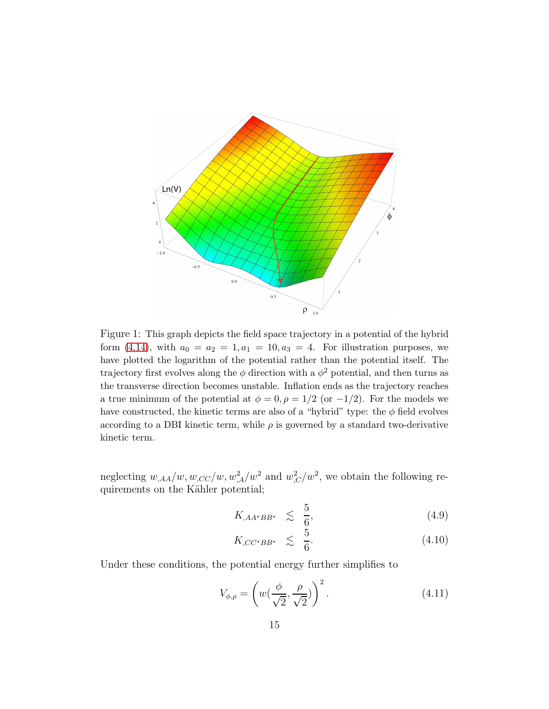

<span id="page-15-1"></span>Figure 1: This graph depicts the field space trajectory in a potential of the hybrid form [\(4.14\)](#page-16-1), with  $a_0 = a_2 = 1, a_1 = 10, a_3 = 4$ . For illustration purposes, we have plotted the logarithm of the potential rather than the potential itself. The trajectory first evolves along the  $\phi$  direction with a  $\phi^2$  potential, and then turns as the transverse direction becomes unstable. Inflation ends as the trajectory reaches a true minimum of the potential at  $\phi = 0, \rho = 1/2$  (or  $-1/2$ ). For the models we have constructed, the kinetic terms are also of a "hybrid" type: the  $\phi$  field evolves according to a DBI kinetic term, while  $\rho$  is governed by a standard two-derivative kinetic term.

neglecting  $w_{,AA}/w$ ,  $w_{,CC}/w$ ,  $w_{,A}^2/w^2$  and  $w_{,C}^2/w^2$ , we obtain the following requirements on the Kähler potential;

$$
K_{,AA^*BB^*} \leq \frac{5}{6},\tag{4.9}
$$

$$
K_{,CC^*BB^*} \leq \frac{5}{6}.\tag{4.10}
$$

Under these conditions, the potential energy further simplifies to

<span id="page-15-0"></span>
$$
V_{\phi,\rho} = \left(w(\frac{\phi}{\sqrt{2}}, \frac{\rho}{\sqrt{2}})\right)^2.
$$
\n(4.11)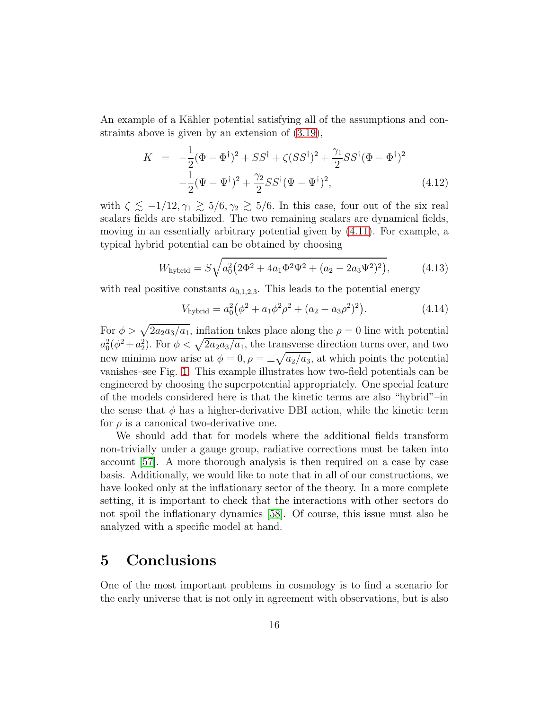An example of a Kähler potential satisfying all of the assumptions and constraints above is given by an extension of [\(3.19\)](#page-12-2),

$$
K = -\frac{1}{2}(\Phi - \Phi^{\dagger})^2 + SS^{\dagger} + \zeta (SS^{\dagger})^2 + \frac{\gamma_1}{2} SS^{\dagger}(\Phi - \Phi^{\dagger})^2 -\frac{1}{2}(\Psi - \Psi^{\dagger})^2 + \frac{\gamma_2}{2} SS^{\dagger}(\Psi - \Psi^{\dagger})^2,
$$
(4.12)

with  $\zeta \lesssim -1/12, \gamma_1 \gtrsim 5/6, \gamma_2 \gtrsim 5/6$ . In this case, four out of the six real scalars fields are stabilized. The two remaining scalars are dynamical fields, moving in an essentially arbitrary potential given by [\(4.11\)](#page-15-0). For example, a typical hybrid potential can be obtained by choosing

$$
W_{\text{hybrid}} = S\sqrt{a_0^2 \left(2\Phi^2 + 4a_1 \Phi^2 \Psi^2 + (a_2 - 2a_3 \Psi^2)^2\right)},\tag{4.13}
$$

with real positive constants  $a_{0,1,2,3}$ . This leads to the potential energy

<span id="page-16-1"></span>
$$
V_{\text{hybrid}} = a_0^2 \left( \phi^2 + a_1 \phi^2 \rho^2 + (a_2 - a_3 \rho^2)^2 \right). \tag{4.14}
$$

For  $\phi > \sqrt{2a_2a_3/a_1}$ , inflation takes place along the  $\rho = 0$  line with potential  $a_0^2(\phi^2 + a_2^2)$ . For  $\phi < \sqrt{2a_2a_3/a_1}$ , the transverse direction turns over, and two new minima now arise at  $\phi = 0$ ,  $\rho = \pm \sqrt{a_2/a_3}$ , at which points the potential vanishes–see Fig. [1.](#page-15-1) This example illustrates how two-field potentials can be engineered by choosing the superpotential appropriately. One special feature of the models considered here is that the kinetic terms are also "hybrid"–in the sense that  $\phi$  has a higher-derivative DBI action, while the kinetic term for  $\rho$  is a canonical two-derivative one.

We should add that for models where the additional fields transform non-trivially under a gauge group, radiative corrections must be taken into account [\[57\]](#page-22-10). A more thorough analysis is then required on a case by case basis. Additionally, we would like to note that in all of our constructions, we have looked only at the inflationary sector of the theory. In a more complete setting, it is important to check that the interactions with other sectors do not spoil the inflationary dynamics [\[58\]](#page-22-11). Of course, this issue must also be analyzed with a specific model at hand.

### <span id="page-16-0"></span>5 Conclusions

One of the most important problems in cosmology is to find a scenario for the early universe that is not only in agreement with observations, but is also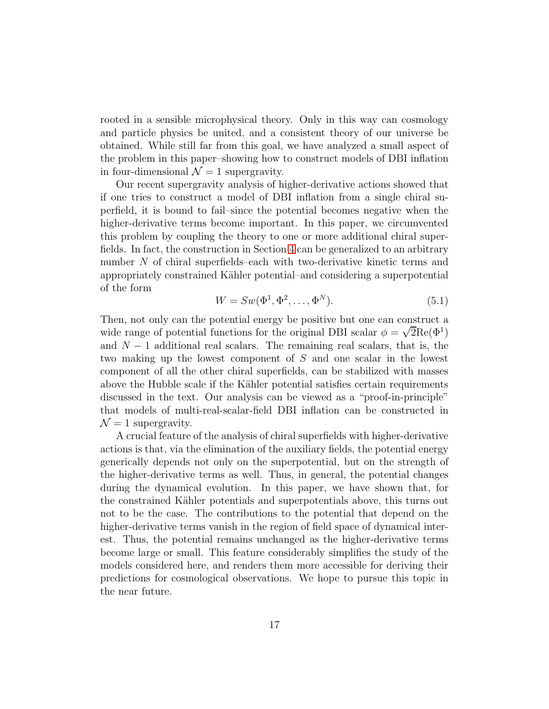rooted in a sensible microphysical theory. Only in this way can cosmology and particle physics be united, and a consistent theory of our universe be obtained. While still far from this goal, we have analyzed a small aspect of the problem in this paper–showing how to construct models of DBI inflation in four-dimensional  $\mathcal{N}=1$  supergravity.

Our recent supergravity analysis of higher-derivative actions showed that if one tries to construct a model of DBI inflation from a single chiral superfield, it is bound to fail–since the potential becomes negative when the higher-derivative terms become important. In this paper, we circumvented this problem by coupling the theory to one or more additional chiral superfields. In fact, the construction in Section [4](#page-12-0) can be generalized to an arbitrary number N of chiral superfields–each with two-derivative kinetic terms and appropriately constrained Kähler potential–and considering a superpotential of the form

$$
W = Sw(\Phi^1, \Phi^2, \dots, \Phi^N). \tag{5.1}
$$

Then, not only can the potential energy be positive but one can construct a wide range of potential functions for the original DBI scalar  $\phi = \sqrt{2} \text{Re}(\Phi^1)$ and  $N-1$  additional real scalars. The remaining real scalars, that is, the two making up the lowest component of S and one scalar in the lowest component of all the other chiral superfields, can be stabilized with masses above the Hubble scale if the Kähler potential satisfies certain requirements discussed in the text. Our analysis can be viewed as a "proof-in-principle" that models of multi-real-scalar-field DBI inflation can be constructed in  $\mathcal{N}=1$  supergravity.

A crucial feature of the analysis of chiral superfields with higher-derivative actions is that, via the elimination of the auxiliary fields, the potential energy generically depends not only on the superpotential, but on the strength of the higher-derivative terms as well. Thus, in general, the potential changes during the dynamical evolution. In this paper, we have shown that, for the constrained Kähler potentials and superpotentials above, this turns out not to be the case. The contributions to the potential that depend on the higher-derivative terms vanish in the region of field space of dynamical interest. Thus, the potential remains unchanged as the higher-derivative terms become large or small. This feature considerably simplifies the study of the models considered here, and renders them more accessible for deriving their predictions for cosmological observations. We hope to pursue this topic in the near future.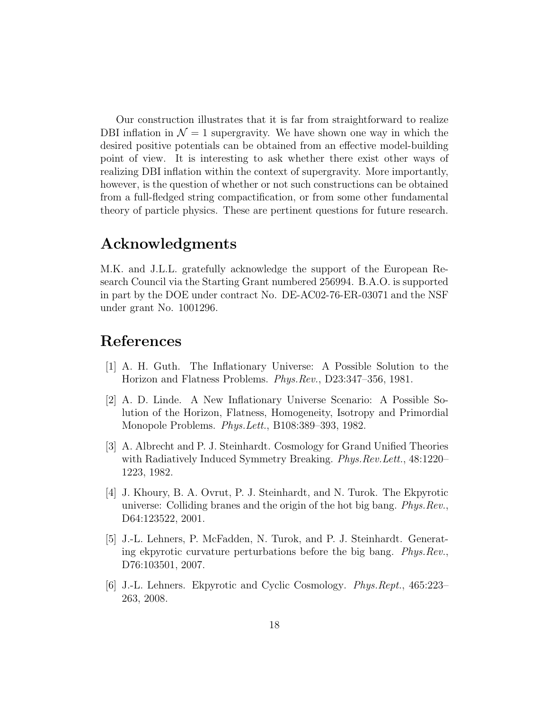Our construction illustrates that it is far from straightforward to realize DBI inflation in  $\mathcal{N} = 1$  supergravity. We have shown one way in which the desired positive potentials can be obtained from an effective model-building point of view. It is interesting to ask whether there exist other ways of realizing DBI inflation within the context of supergravity. More importantly, however, is the question of whether or not such constructions can be obtained from a full-fledged string compactification, or from some other fundamental theory of particle physics. These are pertinent questions for future research.

### Acknowledgments

M.K. and J.L.L. gratefully acknowledge the support of the European Research Council via the Starting Grant numbered 256994. B.A.O. is supported in part by the DOE under contract No. DE-AC02-76-ER-03071 and the NSF under grant No. 1001296.

### <span id="page-18-0"></span>References

- <span id="page-18-1"></span>[1] A. H. Guth. The Inflationary Universe: A Possible Solution to the Horizon and Flatness Problems. Phys.Rev., D23:347–356, 1981.
- [2] A. D. Linde. A New Inflationary Universe Scenario: A Possible Solution of the Horizon, Flatness, Homogeneity, Isotropy and Primordial Monopole Problems. Phys.Lett., B108:389–393, 1982.
- <span id="page-18-2"></span>[3] A. Albrecht and P. J. Steinhardt. Cosmology for Grand Unified Theories with Radiatively Induced Symmetry Breaking. Phys. Rev. Lett., 48:1220– 1223, 1982.
- <span id="page-18-3"></span>[4] J. Khoury, B. A. Ovrut, P. J. Steinhardt, and N. Turok. The Ekpyrotic universe: Colliding branes and the origin of the hot big bang. Phys.Rev., D64:123522, 2001.
- <span id="page-18-4"></span>[5] J.-L. Lehners, P. McFadden, N. Turok, and P. J. Steinhardt. Generating ekpyrotic curvature perturbations before the big bang. Phys.Rev., D76:103501, 2007.
- <span id="page-18-5"></span>[6] J.-L. Lehners. Ekpyrotic and Cyclic Cosmology. Phys.Rept., 465:223– 263, 2008.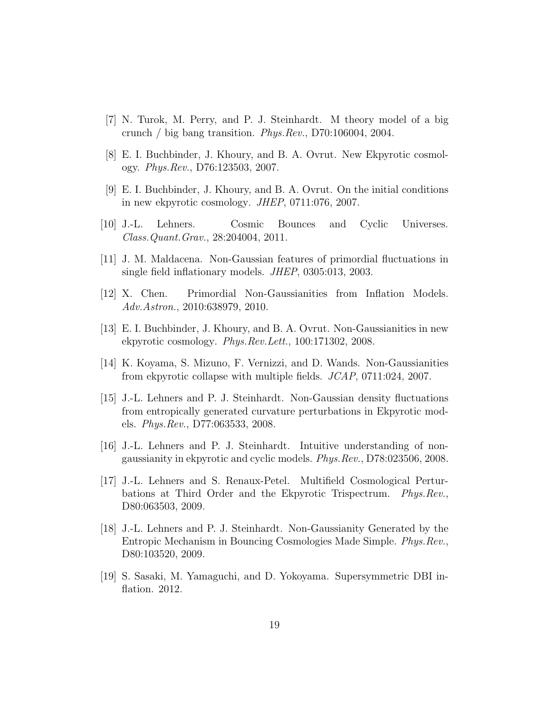- <span id="page-19-9"></span><span id="page-19-8"></span>[7] N. Turok, M. Perry, and P. J. Steinhardt. M theory model of a big crunch / big bang transition. Phys.Rev., D70:106004, 2004.
- <span id="page-19-10"></span>[8] E. I. Buchbinder, J. Khoury, and B. A. Ovrut. New Ekpyrotic cosmology. Phys.Rev., D76:123503, 2007.
- <span id="page-19-11"></span>[9] E. I. Buchbinder, J. Khoury, and B. A. Ovrut. On the initial conditions in new ekpyrotic cosmology. JHEP, 0711:076, 2007.
- <span id="page-19-0"></span>[10] J.-L. Lehners. Cosmic Bounces and Cyclic Universes. Class.Quant.Grav., 28:204004, 2011.
- <span id="page-19-1"></span>[11] J. M. Maldacena. Non-Gaussian features of primordial fluctuations in single field inflationary models. JHEP, 0305:013, 2003.
- <span id="page-19-2"></span>[12] X. Chen. Primordial Non-Gaussianities from Inflation Models. Adv.Astron., 2010:638979, 2010.
- <span id="page-19-3"></span>[13] E. I. Buchbinder, J. Khoury, and B. A. Ovrut. Non-Gaussianities in new ekpyrotic cosmology. Phys.Rev.Lett., 100:171302, 2008.
- <span id="page-19-4"></span>[14] K. Koyama, S. Mizuno, F. Vernizzi, and D. Wands. Non-Gaussianities from ekpyrotic collapse with multiple fields. JCAP, 0711:024, 2007.
- [15] J.-L. Lehners and P. J. Steinhardt. Non-Gaussian density fluctuations from entropically generated curvature perturbations in Ekpyrotic models. Phys.Rev., D77:063533, 2008.
- <span id="page-19-6"></span><span id="page-19-5"></span>[16] J.-L. Lehners and P. J. Steinhardt. Intuitive understanding of nongaussianity in ekpyrotic and cyclic models. Phys.Rev., D78:023506, 2008.
- [17] J.-L. Lehners and S. Renaux-Petel. Multifield Cosmological Perturbations at Third Order and the Ekpyrotic Trispectrum. Phys.Rev., D80:063503, 2009.
- <span id="page-19-7"></span>[18] J.-L. Lehners and P. J. Steinhardt. Non-Gaussianity Generated by the Entropic Mechanism in Bouncing Cosmologies Made Simple. Phys.Rev., D80:103520, 2009.
- <span id="page-19-12"></span>[19] S. Sasaki, M. Yamaguchi, and D. Yokoyama. Supersymmetric DBI inflation. 2012.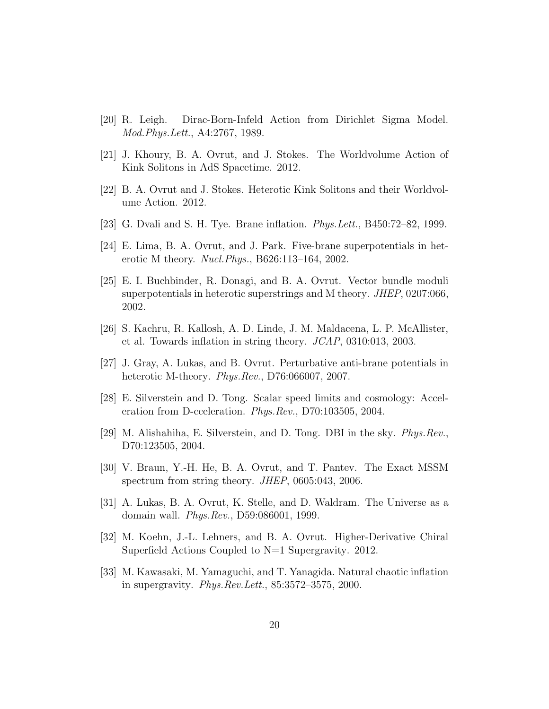- <span id="page-20-12"></span><span id="page-20-0"></span>[20] R. Leigh. Dirac-Born-Infeld Action from Dirichlet Sigma Model. Mod.Phys.Lett., A4:2767, 1989.
- <span id="page-20-13"></span>[21] J. Khoury, B. A. Ovrut, and J. Stokes. The Worldvolume Action of Kink Solitons in AdS Spacetime. 2012.
- <span id="page-20-1"></span>[22] B. A. Ovrut and J. Stokes. Heterotic Kink Solitons and their Worldvolume Action. 2012.
- <span id="page-20-2"></span>[23] G. Dvali and S. H. Tye. Brane inflation. *Phys. Lett.*,  $B450:72-82$ , 1999.
- <span id="page-20-3"></span>[24] E. Lima, B. A. Ovrut, and J. Park. Five-brane superpotentials in heterotic M theory. Nucl.Phys., B626:113–164, 2002.
- [25] E. I. Buchbinder, R. Donagi, and B. A. Ovrut. Vector bundle moduli superpotentials in heterotic superstrings and M theory. JHEP, 0207:066, 2002.
- <span id="page-20-5"></span><span id="page-20-4"></span>[26] S. Kachru, R. Kallosh, A. D. Linde, J. M. Maldacena, L. P. McAllister, et al. Towards inflation in string theory. JCAP, 0310:013, 2003.
- <span id="page-20-6"></span>[27] J. Gray, A. Lukas, and B. Ovrut. Perturbative anti-brane potentials in heterotic M-theory. Phys.Rev., D76:066007, 2007.
- <span id="page-20-7"></span>[28] E. Silverstein and D. Tong. Scalar speed limits and cosmology: Acceleration from D-cceleration. Phys.Rev., D70:103505, 2004.
- <span id="page-20-8"></span>[29] M. Alishahiha, E. Silverstein, and D. Tong. DBI in the sky. Phys.Rev., D70:123505, 2004.
- <span id="page-20-9"></span>[30] V. Braun, Y.-H. He, B. A. Ovrut, and T. Pantev. The Exact MSSM spectrum from string theory. *JHEP*, 0605:043, 2006.
- <span id="page-20-10"></span>[31] A. Lukas, B. A. Ovrut, K. Stelle, and D. Waldram. The Universe as a domain wall. Phys.Rev., D59:086001, 1999.
- <span id="page-20-11"></span>[32] M. Koehn, J.-L. Lehners, and B. A. Ovrut. Higher-Derivative Chiral Superfield Actions Coupled to N=1 Supergravity. 2012.
- [33] M. Kawasaki, M. Yamaguchi, and T. Yanagida. Natural chaotic inflation in supergravity. Phys.Rev.Lett., 85:3572–3575, 2000.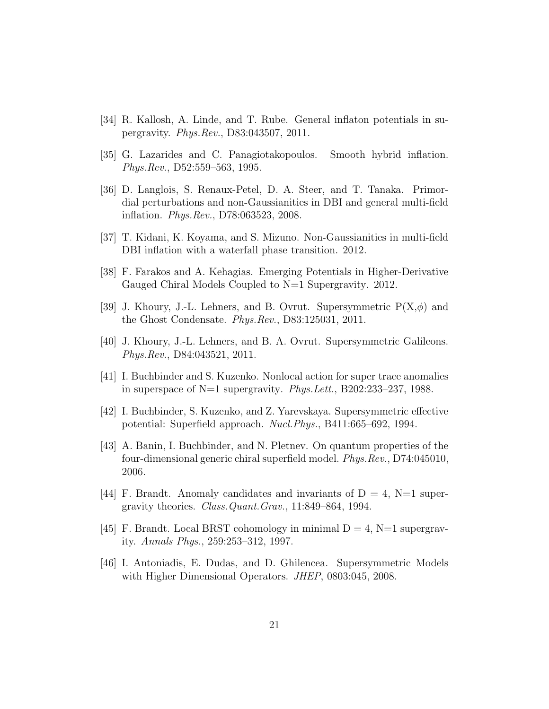- <span id="page-21-1"></span><span id="page-21-0"></span>[34] R. Kallosh, A. Linde, and T. Rube. General inflaton potentials in supergravity. Phys.Rev., D83:043507, 2011.
- <span id="page-21-2"></span>[35] G. Lazarides and C. Panagiotakopoulos. Smooth hybrid inflation. Phys.Rev., D52:559–563, 1995.
- [36] D. Langlois, S. Renaux-Petel, D. A. Steer, and T. Tanaka. Primordial perturbations and non-Gaussianities in DBI and general multi-field inflation. Phys.Rev., D78:063523, 2008.
- <span id="page-21-4"></span><span id="page-21-3"></span>[37] T. Kidani, K. Koyama, and S. Mizuno. Non-Gaussianities in multi-field DBI inflation with a waterfall phase transition. 2012.
- <span id="page-21-5"></span>[38] F. Farakos and A. Kehagias. Emerging Potentials in Higher-Derivative Gauged Chiral Models Coupled to N=1 Supergravity. 2012.
- <span id="page-21-6"></span>[39] J. Khoury, J.-L. Lehners, and B. Ovrut. Supersymmetric  $P(X,\phi)$  and the Ghost Condensate. Phys.Rev., D83:125031, 2011.
- <span id="page-21-7"></span>[40] J. Khoury, J.-L. Lehners, and B. A. Ovrut. Supersymmetric Galileons. Phys.Rev., D84:043521, 2011.
- <span id="page-21-8"></span>[41] I. Buchbinder and S. Kuzenko. Nonlocal action for super trace anomalies in superspace of N=1 supergravity. Phys.Lett., B202:233–237, 1988.
- <span id="page-21-9"></span>[42] I. Buchbinder, S. Kuzenko, and Z. Yarevskaya. Supersymmetric effective potential: Superfield approach. Nucl.Phys., B411:665–692, 1994.
- [43] A. Banin, I. Buchbinder, and N. Pletnev. On quantum properties of the four-dimensional generic chiral superfield model. Phys.Rev., D74:045010, 2006.
- <span id="page-21-11"></span><span id="page-21-10"></span>[44] F. Brandt. Anomaly candidates and invariants of  $D = 4$ , N=1 supergravity theories. Class.Quant.Grav., 11:849–864, 1994.
- <span id="page-21-12"></span>[45] F. Brandt. Local BRST cohomology in minimal  $D = 4$ , N=1 supergravity. Annals Phys., 259:253–312, 1997.
- [46] I. Antoniadis, E. Dudas, and D. Ghilencea. Supersymmetric Models with Higher Dimensional Operators. *JHEP*, 0803:045, 2008.